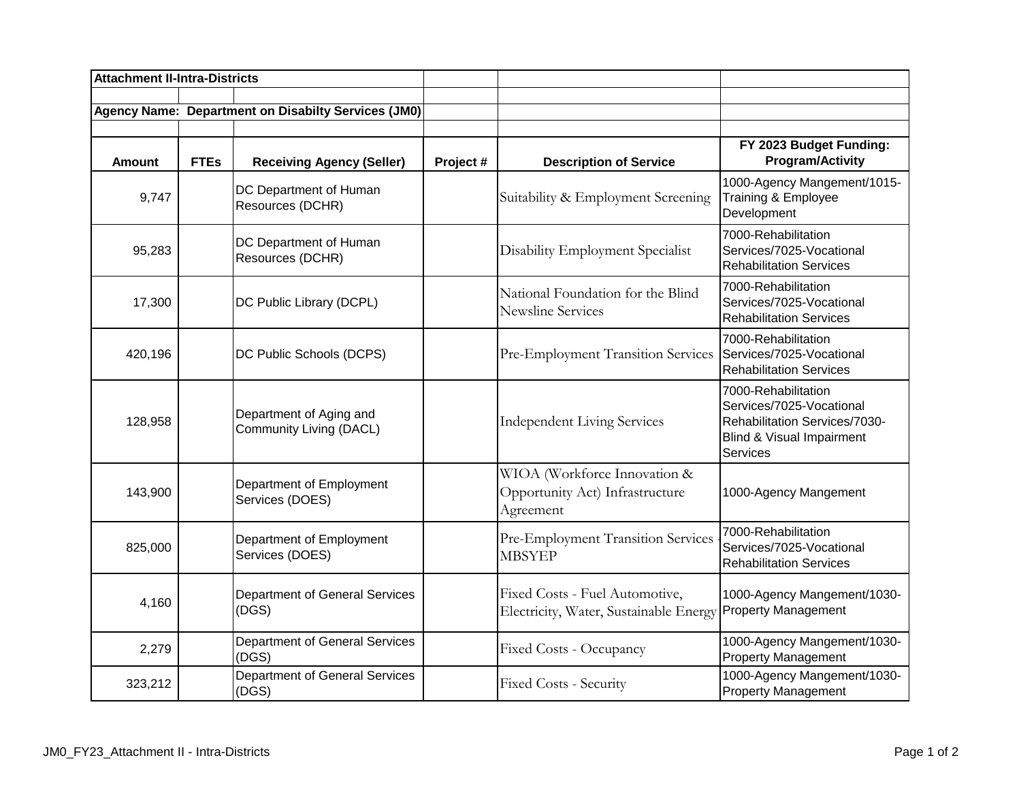| <b>Attachment II-Intra-Districts</b> |             |                                                            |           |                                                                              |                                                                                                                                  |
|--------------------------------------|-------------|------------------------------------------------------------|-----------|------------------------------------------------------------------------------|----------------------------------------------------------------------------------------------------------------------------------|
|                                      |             | <b>Agency Name: Department on Disabilty Services (JM0)</b> |           |                                                                              |                                                                                                                                  |
| <b>Amount</b>                        | <b>FTEs</b> | <b>Receiving Agency (Seller)</b>                           | Project # | <b>Description of Service</b>                                                | FY 2023 Budget Funding:<br><b>Program/Activity</b>                                                                               |
| 9,747                                |             | DC Department of Human<br>Resources (DCHR)                 |           | Suitability & Employment Screening                                           | 1000-Agency Mangement/1015-<br>Training & Employee<br>Development                                                                |
| 95,283                               |             | DC Department of Human<br>Resources (DCHR)                 |           | Disability Employment Specialist                                             | 7000-Rehabilitation<br>Services/7025-Vocational<br><b>Rehabilitation Services</b>                                                |
| 17,300                               |             | DC Public Library (DCPL)                                   |           | National Foundation for the Blind<br><b>Newsline Services</b>                | 7000-Rehabilitation<br>Services/7025-Vocational<br><b>Rehabilitation Services</b>                                                |
| 420,196                              |             | DC Public Schools (DCPS)                                   |           | Pre-Employment Transition Services                                           | 7000-Rehabilitation<br>Services/7025-Vocational<br><b>Rehabilitation Services</b>                                                |
| 128,958                              |             | Department of Aging and<br>Community Living (DACL)         |           | <b>Independent Living Services</b>                                           | 7000-Rehabilitation<br>Services/7025-Vocational<br>Rehabilitation Services/7030-<br>Blind & Visual Impairment<br><b>Services</b> |
| 143,900                              |             | Department of Employment<br>Services (DOES)                |           | WIOA (Workforce Innovation &<br>Opportunity Act) Infrastructure<br>Agreement | 1000-Agency Mangement                                                                                                            |
| 825,000                              |             | Department of Employment<br>Services (DOES)                |           | Pre-Employment Transition Services<br><b>MBSYEP</b>                          | 7000-Rehabilitation<br>Services/7025-Vocational<br><b>Rehabilitation Services</b>                                                |
| 4,160                                |             | Department of General Services<br>(DGS)                    |           | Fixed Costs - Fuel Automotive,<br>Electricity, Water, Sustainable Energy     | 1000-Agency Mangement/1030-<br><b>Property Management</b>                                                                        |
| 2,279                                |             | Department of General Services<br>(DGS)                    |           | Fixed Costs - Occupancy                                                      | 1000-Agency Mangement/1030-<br><b>Property Management</b>                                                                        |
| 323,212                              |             | Department of General Services<br>(DGS)                    |           | Fixed Costs - Security                                                       | 1000-Agency Mangement/1030-<br><b>Property Management</b>                                                                        |